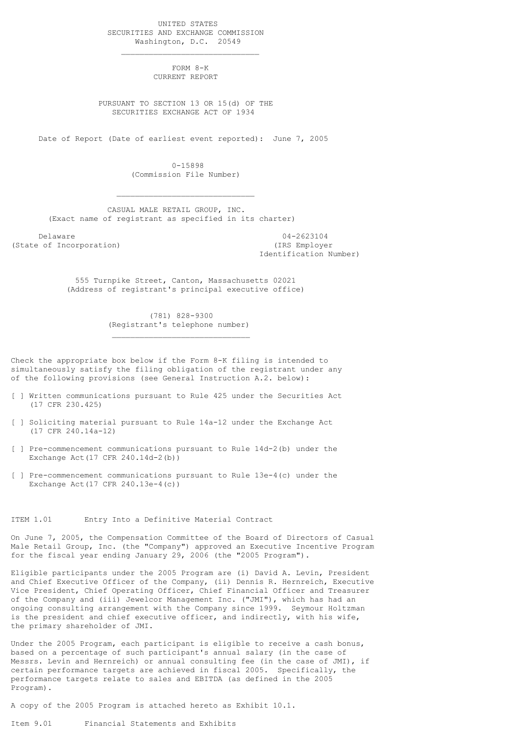UNITED STATES SECURITIES AND EXCHANGE COMMISSION Washington, D.C. 20549

 $\mathcal{L}_\mathcal{L}$  , which is a set of the set of the set of the set of the set of the set of the set of the set of the set of the set of the set of the set of the set of the set of the set of the set of the set of the set of

 $\mathcal{L}_\mathcal{L}$  , which is a set of the set of the set of the set of the set of the set of the set of the set of the set of the set of the set of the set of the set of the set of the set of the set of the set of the set of

 $\mathcal{L}_\text{max}$  and  $\mathcal{L}_\text{max}$  and  $\mathcal{L}_\text{max}$  and  $\mathcal{L}_\text{max}$ 

 FORM 8-K CURRENT REPORT

 PURSUANT TO SECTION 13 OR 15(d) OF THE SECURITIES EXCHANGE ACT OF 1934

Date of Report (Date of earliest event reported): June 7, 2005

 0-15898 (Commission File Number)

 CASUAL MALE RETAIL GROUP, INC. (Exact name of registrant as specified in its charter)

(State of Incorporation) (IRS Employer

 Delaware 04-2623104 Identification Number)

 555 Turnpike Street, Canton, Massachusetts 02021 (Address of registrant's principal executive office)

> (781) 828-9300 (Registrant's telephone number)

Check the appropriate box below if the Form 8-K filing is intended to simultaneously satisfy the filing obligation of the registrant under any of the following provisions (see General Instruction A.2. below):

- [ ] Written communications pursuant to Rule 425 under the Securities Act (17 CFR 230.425)
- [ ] Soliciting material pursuant to Rule 14a-12 under the Exchange Act (17 CFR 240.14a-12)
- [ ] Pre-commencement communications pursuant to Rule 14d-2(b) under the Exchange Act(17 CFR 240.14d-2(b))
- [ ] Pre-commencement communications pursuant to Rule 13e-4(c) under the Exchange Act(17 CFR 240.13e-4(c))

### ITEM 1.01 Entry Into a Definitive Material Contract

On June 7, 2005, the Compensation Committee of the Board of Directors of Casual Male Retail Group, Inc. (the "Company") approved an Executive Incentive Program for the fiscal year ending January 29, 2006 (the "2005 Program").

Eligible participants under the 2005 Program are (i) David A. Levin, President and Chief Executive Officer of the Company, (ii) Dennis R. Hernreich, Executive Vice President, Chief Operating Officer, Chief Financial Officer and Treasurer of the Company and (iii) Jewelcor Management Inc. ("JMI"), which has had an ongoing consulting arrangement with the Company since 1999. Seymour Holtzman is the president and chief executive officer, and indirectly, with his wife, the primary shareholder of JMI.

Under the 2005 Program, each participant is eligible to receive a cash bonus, based on a percentage of such participant's annual salary (in the case of Messrs. Levin and Hernreich) or annual consulting fee (in the case of JMI), if certain performance targets are achieved in fiscal 2005. Specifically, the performance targets relate to sales and EBITDA (as defined in the 2005 Program).

A copy of the 2005 Program is attached hereto as Exhibit 10.1.

Item 9.01 Financial Statements and Exhibits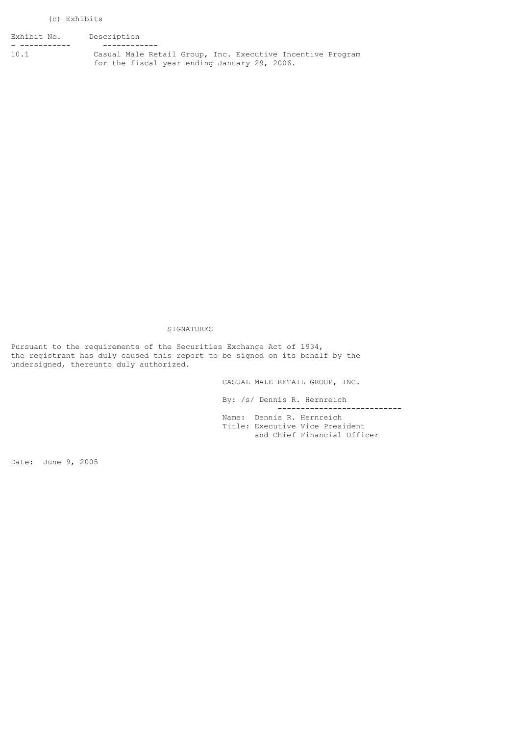#### (c) Exhibits

Exhibit No. Description

- ----------- ------------ Casual Male Retail Group, Inc. Executive Incentive Program for the fiscal year ending January 29, 2006.

# SIGNATURES

Pursuant to the requirements of the Securities Exchange Act of 1934, the registrant has duly caused this report to be signed on its behalf by the undersigned, thereunto duly authorized.

> CASUAL MALE RETAIL GROUP, INC. By: /s/ Dennis R. Hernreich

 --------------------------- Name: Dennis R. Hernreich Title: Executive Vice President and Chief Financial Officer

Date: June 9, 2005